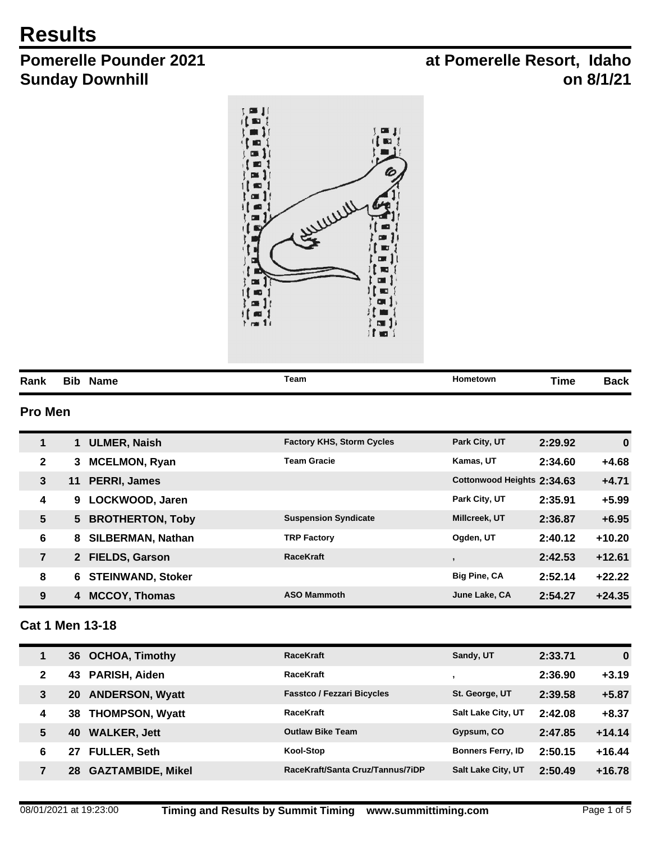# **Results**

# **Pomerelle Pounder 2021 Sunday Downhill**

# **at Pomerelle Resort, Idaho on 8/1/21**



| Rank | Вıt | Name | Team<br>$\begin{array}{ccccccccccccc} \multicolumn{4}{c}{} & \multicolumn{4}{c}{} & \multicolumn{4}{c}{} & \multicolumn{4}{c}{} & \multicolumn{4}{c}{} & \multicolumn{4}{c}{} & \multicolumn{4}{c}{} & \multicolumn{4}{c}{} & \multicolumn{4}{c}{} & \multicolumn{4}{c}{} & \multicolumn{4}{c}{} & \multicolumn{4}{c}{} & \multicolumn{4}{c}{} & \multicolumn{4}{c}{} & \multicolumn{4}{c}{} & \multicolumn{4}{c}{} & \multicolumn{4}{c}{} & \multicolumn{4}{c}{} & \multicolumn{4}{c}{} & \$ | Hometown | ïme | Dacn |
|------|-----|------|-----------------------------------------------------------------------------------------------------------------------------------------------------------------------------------------------------------------------------------------------------------------------------------------------------------------------------------------------------------------------------------------------------------------------------------------------------------------------------------------------|----------|-----|------|

## **Pro Men**

| $\mathbf{1}$       | <b>ULMER, Naish</b>                  | <b>Factory KHS, Storm Cycles</b> | Park City, UT              | 2:29.92 | $\bf{0}$ |
|--------------------|--------------------------------------|----------------------------------|----------------------------|---------|----------|
| $\mathbf{2}$       | <b>MCELMON, Ryan</b><br>3            | <b>Team Gracie</b>               | Kamas, UT                  | 2:34.60 | +4.68    |
| $\mathbf{3}$<br>11 | <b>PERRI, James</b>                  |                                  | Cottonwood Heights 2:34.63 |         | $+4.71$  |
| 4                  | LOCKWOOD, Jaren<br>9                 |                                  | Park City, UT              | 2:35.91 | $+5.99$  |
| $5\phantom{.0}$    | <b>BROTHERTON, Toby</b><br>5.        | <b>Suspension Syndicate</b>      | Millcreek, UT              | 2:36.87 | $+6.95$  |
| 6                  | <b>SILBERMAN, Nathan</b><br>8        | <b>TRP Factory</b>               | Ogden, UT                  | 2:40.12 | $+10.20$ |
| $\overline{7}$     | <b>FIELDS, Garson</b><br>$2^{\circ}$ | <b>RaceKraft</b>                 | $\overline{\phantom{a}}$   | 2:42.53 | $+12.61$ |
| 8                  | <b>STEINWAND, Stoker</b><br>6        |                                  | <b>Big Pine, CA</b>        | 2:52.14 | $+22.22$ |
| 9                  | <b>MCCOY, Thomas</b><br>4            | <b>ASO Mammoth</b>               | June Lake, CA              | 2:54.27 | $+24.35$ |

#### **Cat 1 Men 13-18**

| 1 | <b>OCHOA, Timothy</b><br>36    | <b>RaceKraft</b>                  | Sandy, UT                 | 2:33.71 | $\bf{0}$ |
|---|--------------------------------|-----------------------------------|---------------------------|---------|----------|
| 2 | PARISH, Aiden<br>43            | <b>RaceKraft</b>                  |                           | 2:36.90 | $+3.19$  |
| 3 | <b>ANDERSON, Wyatt</b><br>20   | <b>Fasstco / Fezzari Bicycles</b> | St. George, UT            | 2:39.58 | $+5.87$  |
| 4 | <b>THOMPSON, Wyatt</b><br>38   | <b>RaceKraft</b>                  | <b>Salt Lake City, UT</b> | 2:42.08 | $+8.37$  |
| 5 | <b>WALKER, Jett</b><br>40      | <b>Outlaw Bike Team</b>           | Gypsum, CO                | 2:47.85 | $+14.14$ |
| 6 | <b>FULLER, Seth</b><br>27      | Kool-Stop                         | <b>Bonners Ferry, ID</b>  | 2:50.15 | $+16.44$ |
| 7 | <b>GAZTAMBIDE, Mikel</b><br>28 | RaceKraft/Santa Cruz/Tannus/7iDP  | <b>Salt Lake City, UT</b> | 2:50.49 | $+16.78$ |
|   |                                |                                   |                           |         |          |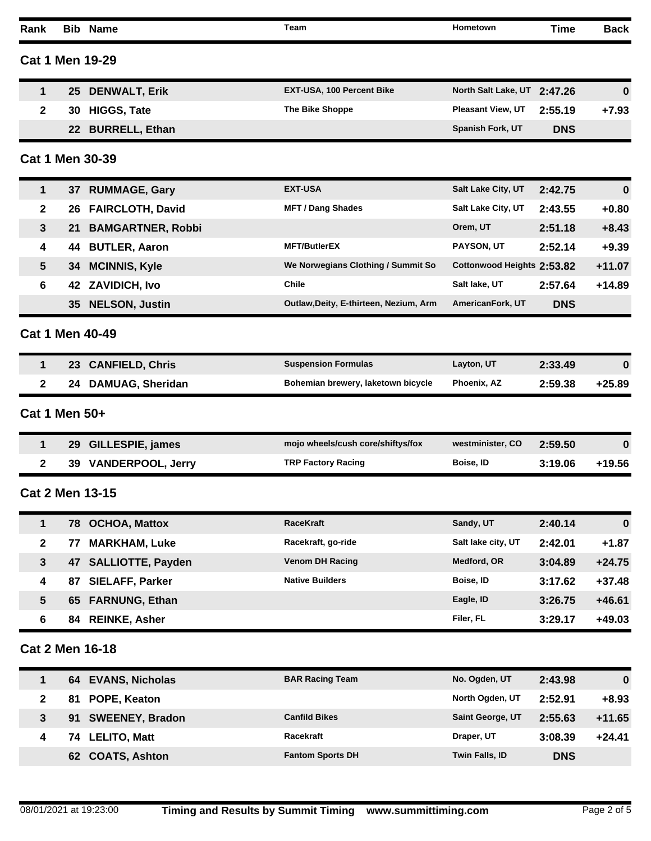| Rank            |               | <b>Bib Name</b>          | <b>Team</b>                            | Hometown                    | Time       | <b>Back</b> |
|-----------------|---------------|--------------------------|----------------------------------------|-----------------------------|------------|-------------|
|                 |               | <b>Cat 1 Men 19-29</b>   |                                        |                             |            |             |
| 1               | 25            | <b>DENWALT, Erik</b>     | EXT-USA, 100 Percent Bike              | North Salt Lake, UT 2:47.26 |            | 0           |
| $\mathbf{2}$    | 30            | <b>HIGGS, Tate</b>       | The Bike Shoppe                        | <b>Pleasant View, UT</b>    | 2:55.19    | $+7.93$     |
|                 | 22            | <b>BURRELL, Ethan</b>    |                                        | Spanish Fork, UT            | <b>DNS</b> |             |
|                 |               | <b>Cat 1 Men 30-39</b>   |                                        |                             |            |             |
| 1               | 37            | <b>RUMMAGE, Gary</b>     | <b>EXT-USA</b>                         | Salt Lake City, UT          | 2:42.75    | 0           |
| $\mathbf{2}$    | 26            | <b>FAIRCLOTH, David</b>  | <b>MFT / Dang Shades</b>               | Salt Lake City, UT          | 2:43.55    | $+0.80$     |
| $\mathbf{3}$    | 21            | <b>BAMGARTNER, Robbi</b> |                                        | Orem, UT                    | 2:51.18    | $+8.43$     |
| 4               | 44            | <b>BUTLER, Aaron</b>     | <b>MFT/ButlerEX</b>                    | PAYSON, UT                  | 2:52.14    | $+9.39$     |
| $5\phantom{1}$  | 34            | <b>MCINNIS, Kyle</b>     | We Norwegians Clothing / Summit So     | Cottonwood Heights 2:53.82  |            | $+11.07$    |
| 6               | 42            | <b>ZAVIDICH, Ivo</b>     | <b>Chile</b>                           | Salt lake, UT               | 2:57.64    | $+14.89$    |
|                 | 35            | <b>NELSON, Justin</b>    | Outlaw, Deity, E-thirteen, Nezium, Arm | AmericanFork, UT            | <b>DNS</b> |             |
|                 |               | Cat 1 Men 40-49          |                                        |                             |            |             |
| 1               |               | 23 CANFIELD, Chris       | <b>Suspension Formulas</b>             | Layton, UT                  | 2:33.49    | $\bf{0}$    |
| $\mathbf{2}$    |               | 24 DAMUAG, Sheridan      | Bohemian brewery, laketown bicycle     | Phoenix, AZ                 | 2:59.38    | $+25.89$    |
|                 | Cat 1 Men 50+ |                          |                                        |                             |            |             |
| 1               | 29            | <b>GILLESPIE, james</b>  | mojo wheels/cush core/shiftys/fox      | westminister, CO            | 2:59.50    | 0           |
| $\mathbf{2}$    |               | 39 VANDERPOOL, Jerry     | <b>TRP Factory Racing</b>              | Boise, ID                   | 3:19.06    | $+19.56$    |
|                 |               | <b>Cat 2 Men 13-15</b>   |                                        |                             |            |             |
| 1               |               | 78 OCHOA, Mattox         | <b>RaceKraft</b>                       | Sandy, UT                   | 2:40.14    | $\bf{0}$    |
| $\mathbf{2}$    | 77            | <b>MARKHAM, Luke</b>     | Racekraft, go-ride                     | Salt lake city, UT          | 2:42.01    | $+1.87$     |
| $\mathbf{3}$    | 47            | <b>SALLIOTTE, Payden</b> | <b>Venom DH Racing</b>                 | Medford, OR                 | 3:04.89    | $+24.75$    |
| 4               | 87            | <b>SIELAFF, Parker</b>   | <b>Native Builders</b>                 | Boise, ID                   | 3:17.62    | $+37.48$    |
| $5\phantom{.0}$ | 65            | <b>FARNUNG, Ethan</b>    |                                        | Eagle, ID                   | 3:26.75    | $+46.61$    |
| 6               | 84            | <b>REINKE, Asher</b>     |                                        | Filer, FL                   | 3:29.17    | $+49.03$    |
|                 |               | <b>Cat 2 Men 16-18</b>   |                                        |                             |            |             |
| 1               |               | 64 EVANS, Nicholas       | <b>BAR Racing Team</b>                 | No. Ogden, UT               | 2:43.98    | $\bf{0}$    |
| $\mathbf{2}$    | 81            | POPE, Keaton             |                                        | North Ogden, UT             | 2:52.91    | $+8.93$     |
| $\mathbf{3}$    | 91            | <b>SWEENEY, Bradon</b>   | <b>Canfild Bikes</b>                   | Saint George, UT            | 2:55.63    | $+11.65$    |
| 4               | 74            | <b>LELITO, Matt</b>      | Racekraft                              | Draper, UT                  | 3:08.39    | $+24.41$    |
|                 | 62            | <b>COATS, Ashton</b>     | <b>Fantom Sports DH</b>                | Twin Falls, ID              | <b>DNS</b> |             |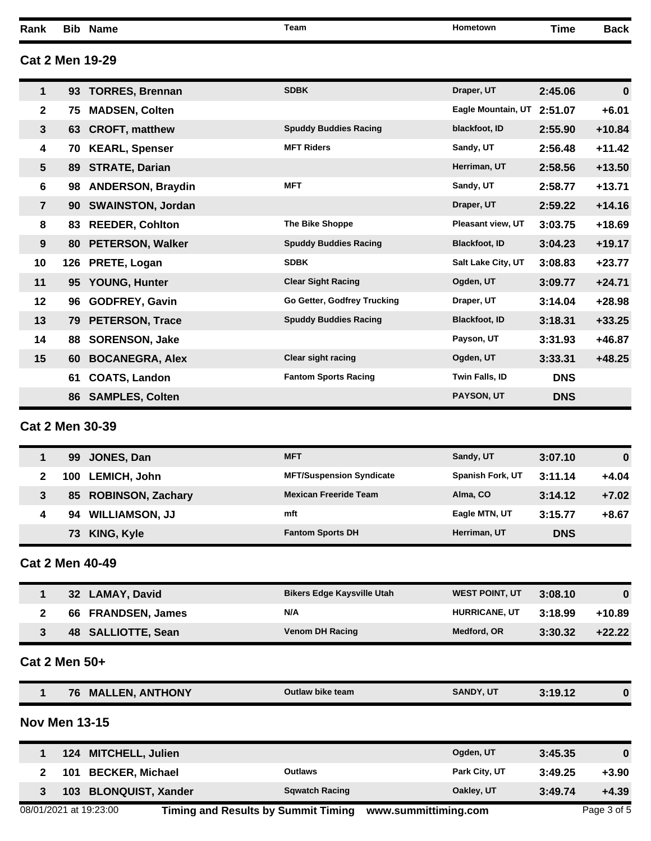**Rank Bib Name Team Hometown Time Back**

#### **Cat 2 Men 19-29**

| 1               | 93  | <b>TORRES, Brennan</b>   | <b>SDBK</b>                  | Draper, UT               | 2:45.06    | $\bf{0}$ |
|-----------------|-----|--------------------------|------------------------------|--------------------------|------------|----------|
| $\mathbf{2}$    | 75  | <b>MADSEN, Colten</b>    |                              | Eagle Mountain, UT       | 2:51.07    | $+6.01$  |
| $\mathbf{3}$    | 63  | <b>CROFT, matthew</b>    | <b>Spuddy Buddies Racing</b> | blackfoot, ID            | 2:55.90    | $+10.84$ |
| 4               | 70  | <b>KEARL, Spenser</b>    | <b>MFT Riders</b>            | Sandy, UT                | 2:56.48    | $+11.42$ |
| $5\phantom{.0}$ | 89  | <b>STRATE, Darian</b>    |                              | Herriman, UT             | 2:58.56    | $+13.50$ |
| 6               | 98  | <b>ANDERSON, Braydin</b> | <b>MFT</b>                   | Sandy, UT                | 2:58.77    | $+13.71$ |
| $\overline{7}$  | 90  | <b>SWAINSTON, Jordan</b> |                              | Draper, UT               | 2:59.22    | $+14.16$ |
| 8               | 83  | <b>REEDER, Cohlton</b>   | <b>The Bike Shoppe</b>       | <b>Pleasant view, UT</b> | 3:03.75    | $+18.69$ |
| 9               | 80  | <b>PETERSON, Walker</b>  | <b>Spuddy Buddies Racing</b> | <b>Blackfoot, ID</b>     | 3:04.23    | $+19.17$ |
| 10              | 126 | PRETE, Logan             | <b>SDBK</b>                  | Salt Lake City, UT       | 3:08.83    | $+23.77$ |
| 11              | 95  | <b>YOUNG, Hunter</b>     | <b>Clear Sight Racing</b>    | Ogden, UT                | 3:09.77    | $+24.71$ |
| 12              | 96  | <b>GODFREY, Gavin</b>    | Go Getter, Godfrey Trucking  | Draper, UT               | 3:14.04    | $+28.98$ |
| 13              | 79. | <b>PETERSON, Trace</b>   | <b>Spuddy Buddies Racing</b> | <b>Blackfoot, ID</b>     | 3:18.31    | $+33.25$ |
| 14              | 88  | <b>SORENSON, Jake</b>    |                              | Payson, UT               | 3:31.93    | $+46.87$ |
| 15              | 60  | <b>BOCANEGRA, Alex</b>   | <b>Clear sight racing</b>    | Ogden, UT                | 3:33.31    | $+48.25$ |
|                 | 61  | <b>COATS, Landon</b>     | <b>Fantom Sports Racing</b>  | Twin Falls, ID           | <b>DNS</b> |          |
|                 | 86  | <b>SAMPLES, Colten</b>   |                              | <b>PAYSON, UT</b>        | <b>DNS</b> |          |

# **Cat 2 Men 30-39**

|   | 99  | JONES, Dan            | <b>MFT</b>                      | Sandy, UT               | 3:07.10    | $\bf{0}$ |
|---|-----|-----------------------|---------------------------------|-------------------------|------------|----------|
|   | 100 | <b>LEMICH, John</b>   | <b>MFT/Suspension Syndicate</b> | <b>Spanish Fork, UT</b> | 3:11.14    | $+4.04$  |
|   | 85  | ROBINSON, Zachary     | <b>Mexican Freeride Team</b>    | Alma, CO                | 3:14.12    | $+7.02$  |
| 4 | 94  | <b>WILLIAMSON, JJ</b> | mft                             | Eagle MTN, UT           | 3:15.77    | $+8.67$  |
|   | 73  | KING, Kyle            | <b>Fantom Sports DH</b>         | Herriman, UT            | <b>DNS</b> |          |

### **Cat 2 Men 40-49**

| 32 LAMAY, David    | <b>Bikers Edge Kaysville Utah</b> | <b>WEST POINT, UT</b> | 3:08.10 | 0        |
|--------------------|-----------------------------------|-----------------------|---------|----------|
| 66 FRANDSEN, James | N/A                               | <b>HURRICANE, UT</b>  | 3:18.99 | $+10.89$ |
| 48 SALLIOTTE, Sean | <b>Venom DH Racing</b>            | Medford, OR           | 3:30.32 | $+22.22$ |

#### **Cat 2 Men 50+**

|--|

### **Nov Men 13-15**

| 124 MITCHELL, Julien          |                       | Ogden, UT     | 3:45.35 |         |
|-------------------------------|-----------------------|---------------|---------|---------|
| <b>BECKER, Michael</b><br>101 | Outlaws               | Park City, UT | 3:49.25 | $+3.90$ |
| 103 BLONQUIST, Xander         | <b>Sqwatch Racing</b> | Oakley, UT    | 3:49.74 | $+4.39$ |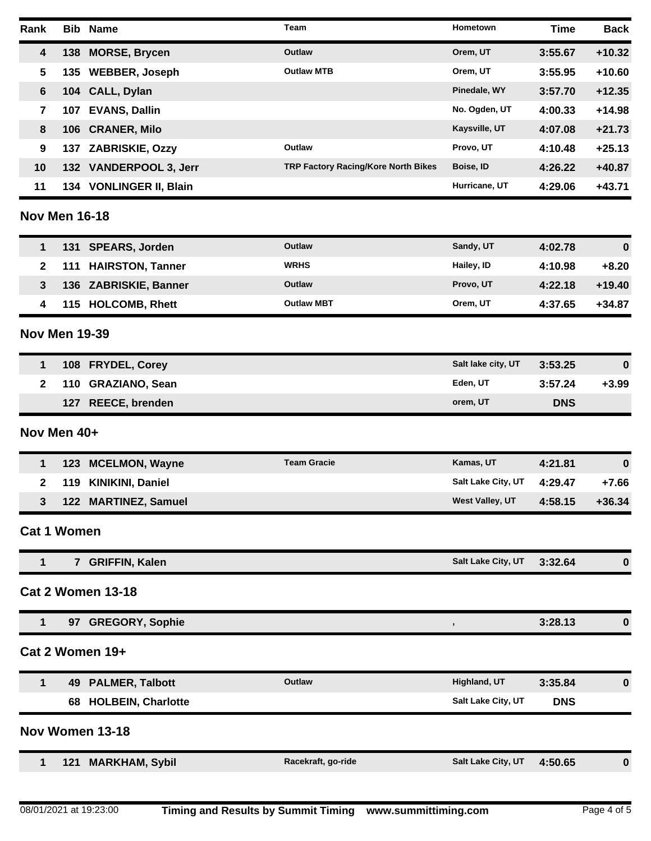| Rank                    |                      | <b>Bib Name</b>           | Team                                | Hometown           | <b>Time</b> | <b>Back</b> |
|-------------------------|----------------------|---------------------------|-------------------------------------|--------------------|-------------|-------------|
| $\overline{\mathbf{4}}$ |                      | 138 MORSE, Brycen         | Outlaw                              | Orem, UT           | 3:55.67     | $+10.32$    |
| 5                       |                      | 135 WEBBER, Joseph        | <b>Outlaw MTB</b>                   | Orem, UT           | 3:55.95     | $+10.60$    |
| $6\phantom{1}$          |                      | 104 CALL, Dylan           |                                     | Pinedale, WY       | 3:57.70     | $+12.35$    |
| $\overline{\mathbf{r}}$ | 107                  | <b>EVANS, Dallin</b>      |                                     | No. Ogden, UT      | 4:00.33     | $+14.98$    |
| 8                       | 106                  | <b>CRANER, Milo</b>       |                                     | Kaysville, UT      | 4:07.08     | $+21.73$    |
| 9                       |                      | 137 ZABRISKIE, Ozzy       | Outlaw                              | Provo, UT          | 4:10.48     | $+25.13$    |
| 10                      |                      | 132 VANDERPOOL 3, Jerr    | TRP Factory Racing/Kore North Bikes | Boise, ID          | 4:26.22     | $+40.87$    |
| 11                      |                      | 134 VONLINGER II, Blain   |                                     | Hurricane, UT      | 4:29.06     | $+43.71$    |
|                         | <b>Nov Men 16-18</b> |                           |                                     |                    |             |             |
| $\mathbf 1$             |                      | 131 SPEARS, Jorden        | Outlaw                              | Sandy, UT          | 4:02.78     | $\bf{0}$    |
| $\mathbf{2}$            | 111                  | <b>HAIRSTON, Tanner</b>   | <b>WRHS</b>                         | Hailey, ID         | 4:10.98     | $+8.20$     |
| $\mathbf{3}$            |                      | 136 ZABRISKIE, Banner     | Outlaw                              | Provo, UT          | 4:22.18     | $+19.40$    |
| 4                       |                      | 115 HOLCOMB, Rhett        | <b>Outlaw MBT</b>                   | Orem, UT           | 4:37.65     | $+34.87$    |
|                         | <b>Nov Men 19-39</b> |                           |                                     |                    |             |             |
| 1                       |                      | 108 FRYDEL, Corey         |                                     | Salt lake city, UT | 3:53.25     | $\bf{0}$    |
| $\mathbf{2}$            | 110                  | <b>GRAZIANO, Sean</b>     |                                     | Eden, UT           | 3:57.24     | $+3.99$     |
|                         |                      | 127 REECE, brenden        |                                     | orem, UT           | <b>DNS</b>  |             |
|                         | Nov Men 40+          |                           |                                     |                    |             |             |
| 1                       | 123                  | <b>MCELMON, Wayne</b>     | <b>Team Gracie</b>                  | Kamas, UT          | 4:21.81     | $\bf{0}$    |
| $\mathbf{2}$            | 119                  | <b>KINIKINI, Daniel</b>   |                                     | Salt Lake City, UT | 4:29.47     | $+7.66$     |
| 3                       |                      | 122 MARTINEZ, Samuel      |                                     | West Valley, UT    | 4:58.15     | $+36.34$    |
|                         | <b>Cat 1 Women</b>   |                           |                                     |                    |             |             |
| 1                       |                      | 7 GRIFFIN, Kalen          |                                     | Salt Lake City, UT | 3:32.64     | $\bf{0}$    |
|                         |                      | <b>Cat 2 Women 13-18</b>  |                                     |                    |             |             |
| 1                       |                      | 97 GREGORY, Sophie        |                                     | $\pmb{\cdot}$      | 3:28.13     | 0           |
|                         |                      | Cat 2 Women 19+           |                                     |                    |             |             |
| 1                       | 49                   | <b>PALMER, Talbott</b>    | Outlaw                              | Highland, UT       | 3:35.84     | $\bf{0}$    |
|                         | 68                   | <b>HOLBEIN, Charlotte</b> |                                     | Salt Lake City, UT | <b>DNS</b>  |             |
|                         |                      | Nov Women 13-18           |                                     |                    |             |             |
| 1                       |                      | 121 MARKHAM, Sybil        | Racekraft, go-ride                  | Salt Lake City, UT | 4:50.65     | $\bf{0}$    |